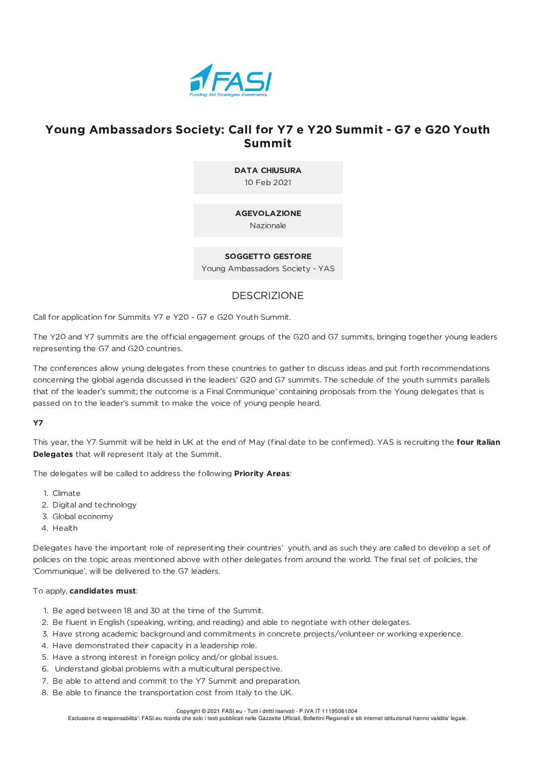

# **Young Ambassadors Society: Call for Y7 e Y20 Summit - G7 e G20 Youth Summit**

**DATA CHIUSURA** 10 Feb 2021

## **AGEVOLAZIONE**

Nazionale

## **SOGGETTO GESTORE**

Young Ambassadors Society - YAS

## DESCRIZIONE

Call for application for Summits Y7 e Y20 - G7 e G20 Youth Summit.

The Y20 and Y7 summits are the official engagement groups of the G20 and G7 summits, bringing together young leaders representing the G7 and G20 countries.

The conferences allow young delegates from these countries to gather to discuss ideas and put forth recommendations concerning the global agenda discussed in the leaders' G20 and G7 summits. The schedule of the youth summits parallels that of the leader's summit; the outcome is a Final Communique' containing proposals from the Young delegates that is passed on to the leader's summit to make the voice of young people heard.

## **Y7**

This year, the Y7 Summit will be held in UK at the end of May (final date to be confirmed). YAS is recruiting the **four Italian Delegates** that will represent Italy at the Summit.

The delegates will be called to address the following **Priority Areas**:

- 1. Climate
- 2. Digital and technology
- 3. Global economy
- 4. Health

Delegates have the important role of representing their countries' youth, and as such they are called to develop a set of policies on the topic areas mentioned above with other delegates from around the world. The final set of policies, the 'Communique', will be delivered to the G7 leaders.

### To apply, **candidates must**:

- 1. Be aged between 18 and 30 at the time of the Summit.
- 2. Be fluent in English (speaking, writing, and reading) and able to negotiate with other delegates.
- 3. Have strong academic background and commitments in concrete projects/volunteer or working experience.
- 4. Have demonstrated their capacity in a leadership role.
- 5. Have a strong interest in foreign policy and/or global issues.
- 6. Understand global problems with a multicultural perspective.
- 7. Be able to attend and commit to the Y7 Summit and preparation.
- 8. Be able to finance the transportation cost from Italy to the UK.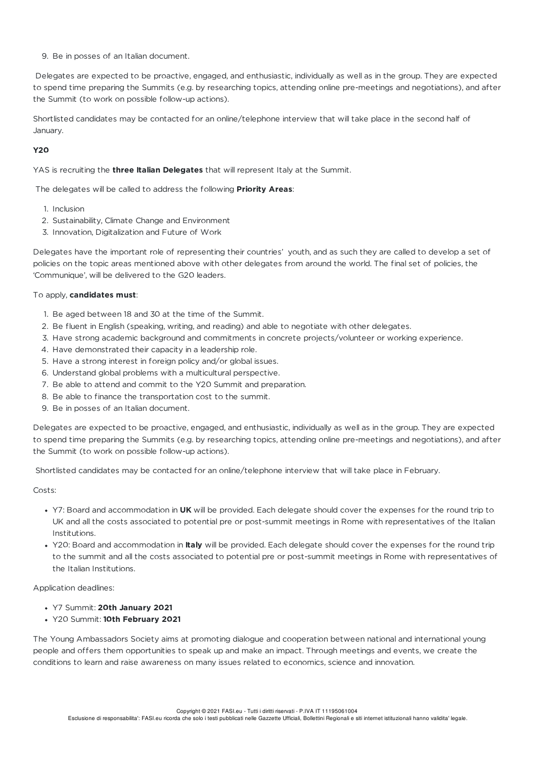9. Be in posses of an Italian document.

Delegates are expected to be proactive, engaged, and enthusiastic, individually as well as in the group. They are expected to spend time preparing the Summits (e.g. by researching topics, attending online pre-meetings and negotiations), and after the Summit (to work on possible follow-up actions).

Shortlisted candidates may be contacted for an online/telephone interview that will take place in the second half of January.

## **Y20**

YAS is recruiting the **three Italian Delegates** that will represent Italy at the Summit.

The delegates will be called to address the following **Priority Areas**:

- 1. Inclusion
- 2. Sustainability, Climate Change and Environment
- 3. Innovation, Digitalization and Future of Work

Delegates have the important role of representing their countries' youth, and as such they are called to develop a set of policies on the topic areas mentioned above with other delegates from around the world. The final set of policies, the 'Communique', will be delivered to the G20 leaders.

### To apply, **candidates must**:

- 1. Be aged between 18 and 30 at the time of the Summit.
- 2. Be fluent in English (speaking, writing, and reading) and able to negotiate with other delegates.
- 3. Have strong academic background and commitments in concrete projects/volunteer or working experience.
- 4. Have demonstrated their capacity in a leadership role.
- 5. Have a strong interest in foreign policy and/or global issues.
- 6. Understand global problems with a multicultural perspective.
- 7. Be able to attend and commit to the Y20 Summit and preparation.
- 8. Be able to finance the transportation cost to the summit.
- 9. Be in posses of an Italian document.

Delegates are expected to be proactive, engaged, and enthusiastic, individually as well as in the group. They are expected to spend time preparing the Summits (e.g. by researching topics, attending online pre-meetings and negotiations), and after the Summit (to work on possible follow-up actions).

Shortlisted candidates may be contacted for an online/telephone interview that will take place in February.

### Costs:

- Y7: Board and accommodation in **UK** will be provided. Each delegate should cover the expenses for the round trip to UK and all the costs associated to potential pre or post-summit meetings in Rome with representatives of the Italian Institutions.
- Y20: Board and accommodation in **Italy** will be provided. Each delegate should cover the expenses for the round trip to the summit and all the costs associated to potential pre or post-summit meetings in Rome with representatives of the Italian Institutions.

Application deadlines:

- Y7 Summit: **20th January 2021**
- Y20 Summit: **10th February 2021**

The Young Ambassadors Society aims at promoting dialogue and cooperation between national and international young people and offers them opportunities to speak up and make an impact. Through meetings and events, we create the conditions to learn and raise awareness on many issues related to economics, science and innovation.